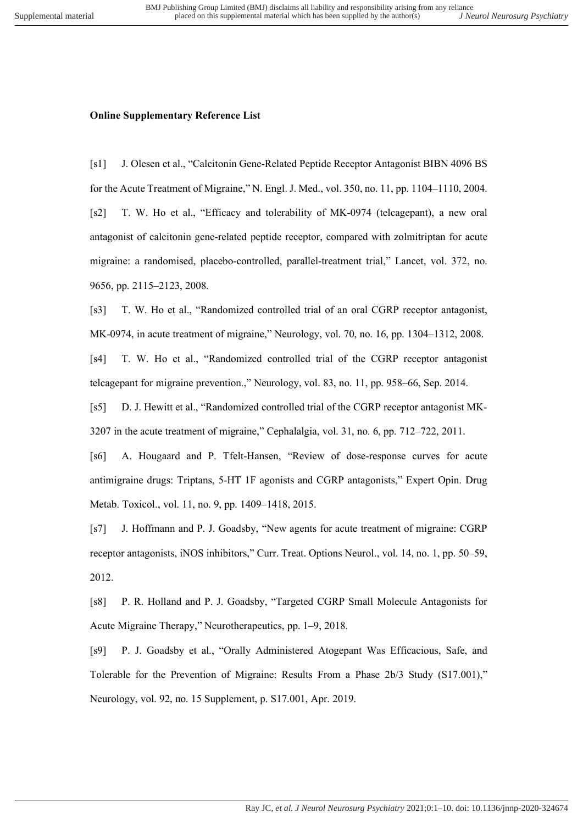## **Online Supplementary Reference List**

[s1] J. Olesen et al., "Calcitonin Gene-Related Peptide Receptor Antagonist BIBN 4096 BS for the Acute Treatment of Migraine," N. Engl. J. Med., vol. 350, no. 11, pp. 1104–1110, 2004. [s2] T. W. Ho et al., "Efficacy and tolerability of MK-0974 (telcagepant), a new oral antagonist of calcitonin gene-related peptide receptor, compared with zolmitriptan for acute migraine: a randomised, placebo-controlled, parallel-treatment trial," Lancet, vol. 372, no. 9656, pp. 2115–2123, 2008.

[s3] T. W. Ho et al., "Randomized controlled trial of an oral CGRP receptor antagonist, MK-0974, in acute treatment of migraine," Neurology, vol. 70, no. 16, pp. 1304–1312, 2008. [s4] T. W. Ho et al., "Randomized controlled trial of the CGRP receptor antagonist telcagepant for migraine prevention.," Neurology, vol. 83, no. 11, pp. 958–66, Sep. 2014.

[s5] D. J. Hewitt et al., "Randomized controlled trial of the CGRP receptor antagonist MK-3207 in the acute treatment of migraine," Cephalalgia, vol. 31, no. 6, pp. 712–722, 2011.

[s6] A. Hougaard and P. Tfelt-Hansen, "Review of dose-response curves for acute antimigraine drugs: Triptans, 5-HT 1F agonists and CGRP antagonists," Expert Opin. Drug Metab. Toxicol., vol. 11, no. 9, pp. 1409–1418, 2015.

[s7] J. Hoffmann and P. J. Goadsby, "New agents for acute treatment of migraine: CGRP receptor antagonists, iNOS inhibitors," Curr. Treat. Options Neurol., vol. 14, no. 1, pp. 50–59, 2012.

[s8] P. R. Holland and P. J. Goadsby, "Targeted CGRP Small Molecule Antagonists for Acute Migraine Therapy," Neurotherapeutics, pp. 1–9, 2018.

[s9] P. J. Goadsby et al., "Orally Administered Atogepant Was Efficacious, Safe, and Tolerable for the Prevention of Migraine: Results From a Phase 2b/3 Study (S17.001)," Neurology, vol. 92, no. 15 Supplement, p. S17.001, Apr. 2019.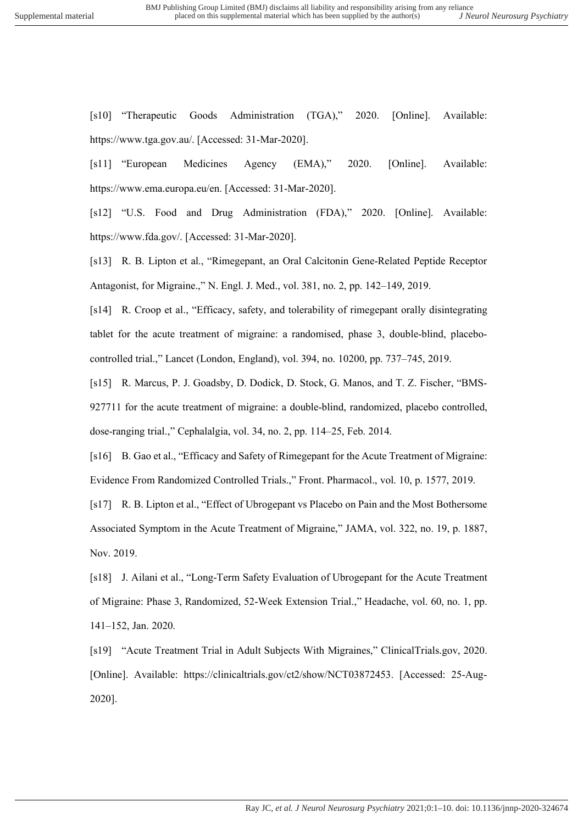[s10] "Therapeutic Goods Administration (TGA)," 2020. [Online]. Available: https://www.tga.gov.au/. [Accessed: 31-Mar-2020].

[s11] "European Medicines Agency (EMA)," 2020. [Online]. Available: https://www.ema.europa.eu/en. [Accessed: 31-Mar-2020].

[s12] "U.S. Food and Drug Administration (FDA)," 2020. [Online]. Available: https://www.fda.gov/. [Accessed: 31-Mar-2020].

[s13] R. B. Lipton et al., "Rimegepant, an Oral Calcitonin Gene-Related Peptide Receptor Antagonist, for Migraine.," N. Engl. J. Med., vol. 381, no. 2, pp. 142–149, 2019.

[s14] R. Croop et al., "Efficacy, safety, and tolerability of rimegepant orally disintegrating tablet for the acute treatment of migraine: a randomised, phase 3, double-blind, placebocontrolled trial.," Lancet (London, England), vol. 394, no. 10200, pp. 737–745, 2019.

[s15] R. Marcus, P. J. Goadsby, D. Dodick, D. Stock, G. Manos, and T. Z. Fischer, "BMS-927711 for the acute treatment of migraine: a double-blind, randomized, placebo controlled, dose-ranging trial.," Cephalalgia, vol. 34, no. 2, pp. 114–25, Feb. 2014.

[s16] B. Gao et al., "Efficacy and Safety of Rimegepant for the Acute Treatment of Migraine: Evidence From Randomized Controlled Trials.," Front. Pharmacol., vol. 10, p. 1577, 2019.

[s17] R. B. Lipton et al., "Effect of Ubrogepant vs Placebo on Pain and the Most Bothersome Associated Symptom in the Acute Treatment of Migraine," JAMA, vol. 322, no. 19, p. 1887, Nov. 2019.

[s18] J. Ailani et al., "Long-Term Safety Evaluation of Ubrogepant for the Acute Treatment of Migraine: Phase 3, Randomized, 52-Week Extension Trial.," Headache, vol. 60, no. 1, pp. 141–152, Jan. 2020.

[s19] "Acute Treatment Trial in Adult Subjects With Migraines," ClinicalTrials.gov, 2020. [Online]. Available: https://clinicaltrials.gov/ct2/show/NCT03872453. [Accessed: 25-Aug-2020].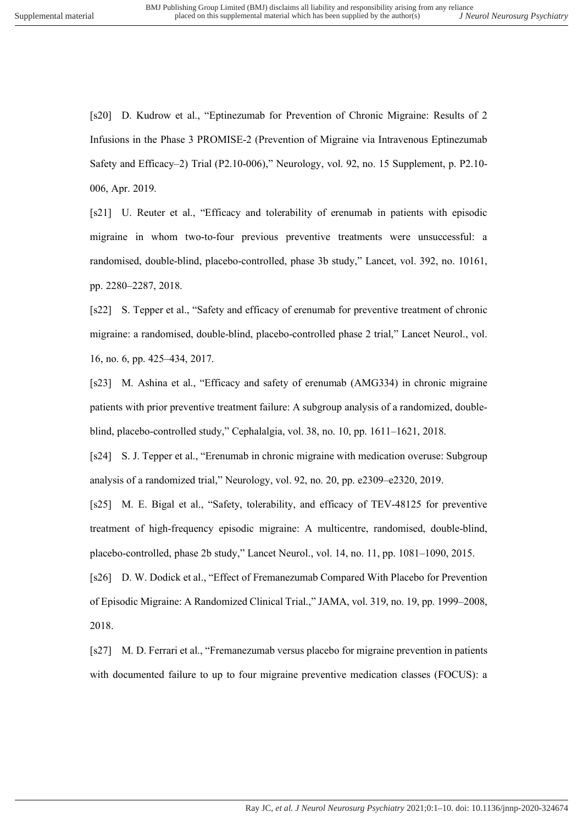[s20] D. Kudrow et al., "Eptinezumab for Prevention of Chronic Migraine: Results of 2 Infusions in the Phase 3 PROMISE-2 (Prevention of Migraine via Intravenous Eptinezumab Safety and Efficacy–2) Trial (P2.10-006)," Neurology, vol. 92, no. 15 Supplement, p. P2.10- 006, Apr. 2019.

[s21] U. Reuter et al., "Efficacy and tolerability of erenumab in patients with episodic migraine in whom two-to-four previous preventive treatments were unsuccessful: a randomised, double-blind, placebo-controlled, phase 3b study," Lancet, vol. 392, no. 10161, pp. 2280–2287, 2018.

[s22] S. Tepper et al., "Safety and efficacy of erenumab for preventive treatment of chronic migraine: a randomised, double-blind, placebo-controlled phase 2 trial," Lancet Neurol., vol. 16, no. 6, pp. 425–434, 2017.

[s23] M. Ashina et al., "Efficacy and safety of erenumab (AMG334) in chronic migraine patients with prior preventive treatment failure: A subgroup analysis of a randomized, doubleblind, placebo-controlled study," Cephalalgia, vol. 38, no. 10, pp. 1611–1621, 2018.

[s24] S. J. Tepper et al., "Erenumab in chronic migraine with medication overuse: Subgroup analysis of a randomized trial," Neurology, vol. 92, no. 20, pp. e2309–e2320, 2019.

[s25] M. E. Bigal et al., "Safety, tolerability, and efficacy of TEV-48125 for preventive treatment of high-frequency episodic migraine: A multicentre, randomised, double-blind, placebo-controlled, phase 2b study," Lancet Neurol., vol. 14, no. 11, pp. 1081–1090, 2015.

[s26] D. W. Dodick et al., "Effect of Fremanezumab Compared With Placebo for Prevention of Episodic Migraine: A Randomized Clinical Trial.," JAMA, vol. 319, no. 19, pp. 1999–2008, 2018.

[s27] M. D. Ferrari et al., "Fremanezumab versus placebo for migraine prevention in patients with documented failure to up to four migraine preventive medication classes (FOCUS): a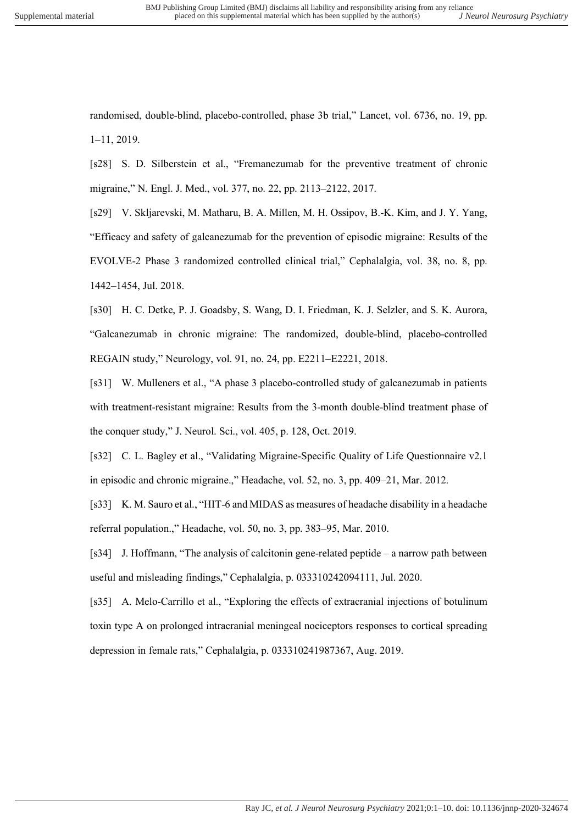randomised, double-blind, placebo-controlled, phase 3b trial," Lancet, vol. 6736, no. 19, pp. 1–11, 2019.

[s28] S. D. Silberstein et al., "Fremanezumab for the preventive treatment of chronic migraine," N. Engl. J. Med., vol. 377, no. 22, pp. 2113–2122, 2017.

[s29] V. Skljarevski, M. Matharu, B. A. Millen, M. H. Ossipov, B.-K. Kim, and J. Y. Yang, "Efficacy and safety of galcanezumab for the prevention of episodic migraine: Results of the EVOLVE-2 Phase 3 randomized controlled clinical trial," Cephalalgia, vol. 38, no. 8, pp. 1442–1454, Jul. 2018.

[s30] H. C. Detke, P. J. Goadsby, S. Wang, D. I. Friedman, K. J. Selzler, and S. K. Aurora, "Galcanezumab in chronic migraine: The randomized, double-blind, placebo-controlled REGAIN study," Neurology, vol. 91, no. 24, pp. E2211–E2221, 2018.

[s31] W. Mulleners et al., "A phase 3 placebo-controlled study of galcanezumab in patients with treatment-resistant migraine: Results from the 3-month double-blind treatment phase of the conquer study," J. Neurol. Sci., vol. 405, p. 128, Oct. 2019.

[s32] C. L. Bagley et al., "Validating Migraine-Specific Quality of Life Questionnaire v2.1 in episodic and chronic migraine.," Headache, vol. 52, no. 3, pp. 409–21, Mar. 2012.

[s33] K. M. Sauro et al., "HIT-6 and MIDAS as measures of headache disability in a headache referral population.," Headache, vol. 50, no. 3, pp. 383–95, Mar. 2010.

[s34] J. Hoffmann, "The analysis of calcitonin gene-related peptide – a narrow path between useful and misleading findings," Cephalalgia, p. 033310242094111, Jul. 2020.

[s35] A. Melo-Carrillo et al., "Exploring the effects of extracranial injections of botulinum toxin type A on prolonged intracranial meningeal nociceptors responses to cortical spreading depression in female rats," Cephalalgia, p. 033310241987367, Aug. 2019.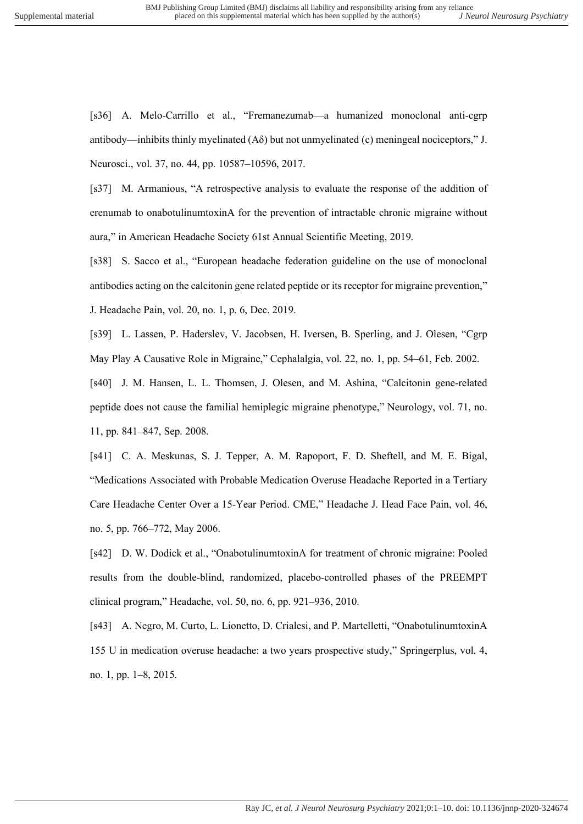[s36] A. Melo-Carrillo et al., "Fremanezumab—a humanized monoclonal anti-cgrp antibody—inhibits thinly myelinated  $(A\delta)$  but not unmyelinated (c) meningeal nociceptors," J. Neurosci., vol. 37, no. 44, pp. 10587–10596, 2017.

[s37] M. Armanious, "A retrospective analysis to evaluate the response of the addition of erenumab to onabotulinumtoxinA for the prevention of intractable chronic migraine without aura," in American Headache Society 61st Annual Scientific Meeting, 2019.

[s38] S. Sacco et al., "European headache federation guideline on the use of monoclonal antibodies acting on the calcitonin gene related peptide or its receptor for migraine prevention," J. Headache Pain, vol. 20, no. 1, p. 6, Dec. 2019.

[s39] L. Lassen, P. Haderslev, V. Jacobsen, H. Iversen, B. Sperling, and J. Olesen, "Cgrp May Play A Causative Role in Migraine," Cephalalgia, vol. 22, no. 1, pp. 54–61, Feb. 2002.

[s40] J. M. Hansen, L. L. Thomsen, J. Olesen, and M. Ashina, "Calcitonin gene-related peptide does not cause the familial hemiplegic migraine phenotype," Neurology, vol. 71, no. 11, pp. 841–847, Sep. 2008.

[s41] C. A. Meskunas, S. J. Tepper, A. M. Rapoport, F. D. Sheftell, and M. E. Bigal, "Medications Associated with Probable Medication Overuse Headache Reported in a Tertiary Care Headache Center Over a 15-Year Period. CME," Headache J. Head Face Pain, vol. 46, no. 5, pp. 766–772, May 2006.

[s42] D. W. Dodick et al., "OnabotulinumtoxinA for treatment of chronic migraine: Pooled results from the double-blind, randomized, placebo-controlled phases of the PREEMPT clinical program," Headache, vol. 50, no. 6, pp. 921–936, 2010.

[s43] A. Negro, M. Curto, L. Lionetto, D. Crialesi, and P. Martelletti, "OnabotulinumtoxinA 155 U in medication overuse headache: a two years prospective study," Springerplus, vol. 4, no. 1, pp. 1–8, 2015.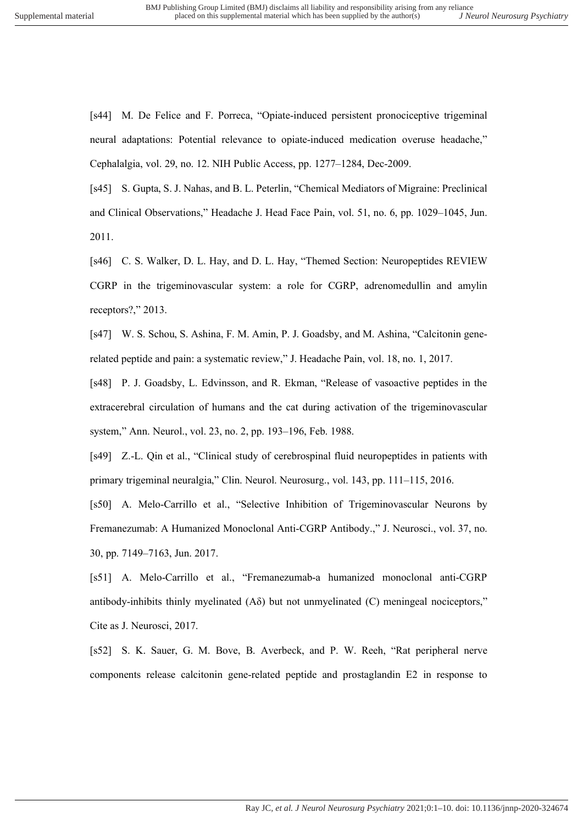[s44] M. De Felice and F. Porreca, "Opiate-induced persistent pronociceptive trigeminal neural adaptations: Potential relevance to opiate-induced medication overuse headache," Cephalalgia, vol. 29, no. 12. NIH Public Access, pp. 1277–1284, Dec-2009.

[s45] S. Gupta, S. J. Nahas, and B. L. Peterlin, "Chemical Mediators of Migraine: Preclinical and Clinical Observations," Headache J. Head Face Pain, vol. 51, no. 6, pp. 1029–1045, Jun. 2011.

[s46] C. S. Walker, D. L. Hay, and D. L. Hay, "Themed Section: Neuropeptides REVIEW CGRP in the trigeminovascular system: a role for CGRP, adrenomedullin and amylin receptors?," 2013.

[s47] W. S. Schou, S. Ashina, F. M. Amin, P. J. Goadsby, and M. Ashina, "Calcitonin generelated peptide and pain: a systematic review," J. Headache Pain, vol. 18, no. 1, 2017.

[s48] P. J. Goadsby, L. Edvinsson, and R. Ekman, "Release of vasoactive peptides in the extracerebral circulation of humans and the cat during activation of the trigeminovascular system," Ann. Neurol., vol. 23, no. 2, pp. 193–196, Feb. 1988.

[s49] Z.-L. Qin et al., "Clinical study of cerebrospinal fluid neuropeptides in patients with primary trigeminal neuralgia," Clin. Neurol. Neurosurg., vol. 143, pp. 111–115, 2016.

[s50] A. Melo-Carrillo et al., "Selective Inhibition of Trigeminovascular Neurons by Fremanezumab: A Humanized Monoclonal Anti-CGRP Antibody.," J. Neurosci., vol. 37, no. 30, pp. 7149–7163, Jun. 2017.

[s51] A. Melo-Carrillo et al., "Fremanezumab-a humanized monoclonal anti-CGRP antibody-inhibits thinly myelinated  $(A\delta)$  but not unmyelinated  $(C)$  meningeal nociceptors," Cite as J. Neurosci, 2017.

[s52] S. K. Sauer, G. M. Bove, B. Averbeck, and P. W. Reeh, "Rat peripheral nerve components release calcitonin gene-related peptide and prostaglandin E2 in response to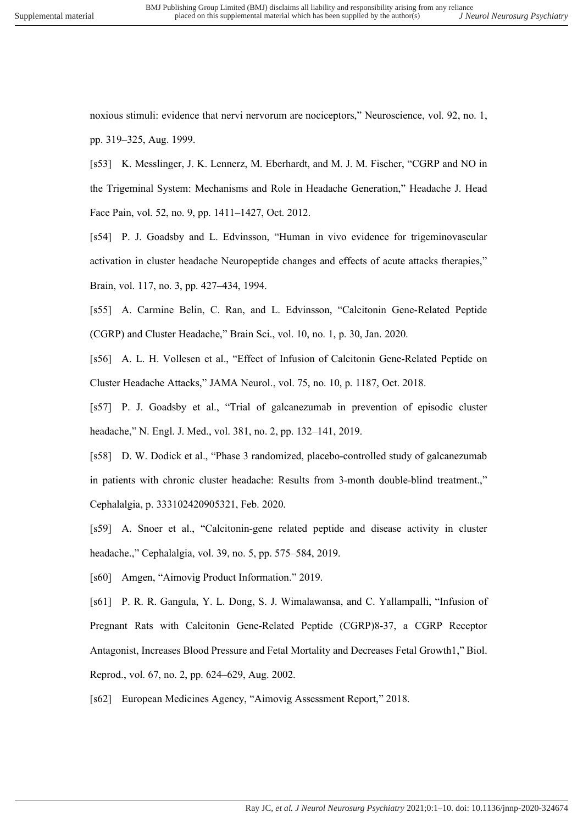noxious stimuli: evidence that nervi nervorum are nociceptors," Neuroscience, vol. 92, no. 1, pp. 319–325, Aug. 1999.

[s53] K. Messlinger, J. K. Lennerz, M. Eberhardt, and M. J. M. Fischer, "CGRP and NO in the Trigeminal System: Mechanisms and Role in Headache Generation," Headache J. Head Face Pain, vol. 52, no. 9, pp. 1411–1427, Oct. 2012.

[s54] P. J. Goadsby and L. Edvinsson, "Human in vivo evidence for trigeminovascular activation in cluster headache Neuropeptide changes and effects of acute attacks therapies," Brain, vol. 117, no. 3, pp. 427–434, 1994.

[s55] A. Carmine Belin, C. Ran, and L. Edvinsson, "Calcitonin Gene-Related Peptide (CGRP) and Cluster Headache," Brain Sci., vol. 10, no. 1, p. 30, Jan. 2020.

[s56] A. L. H. Vollesen et al., "Effect of Infusion of Calcitonin Gene-Related Peptide on Cluster Headache Attacks," JAMA Neurol., vol. 75, no. 10, p. 1187, Oct. 2018.

[s57] P. J. Goadsby et al., "Trial of galcanezumab in prevention of episodic cluster headache," N. Engl. J. Med., vol. 381, no. 2, pp. 132–141, 2019.

[s58] D. W. Dodick et al., "Phase 3 randomized, placebo-controlled study of galcanezumab in patients with chronic cluster headache: Results from 3-month double-blind treatment.," Cephalalgia, p. 333102420905321, Feb. 2020.

[s59] A. Snoer et al., "Calcitonin-gene related peptide and disease activity in cluster headache.," Cephalalgia, vol. 39, no. 5, pp. 575–584, 2019.

[s60] Amgen, "Aimovig Product Information." 2019.

[s61] P. R. R. Gangula, Y. L. Dong, S. J. Wimalawansa, and C. Yallampalli, "Infusion of Pregnant Rats with Calcitonin Gene-Related Peptide (CGRP)8-37, a CGRP Receptor Antagonist, Increases Blood Pressure and Fetal Mortality and Decreases Fetal Growth1," Biol. Reprod., vol. 67, no. 2, pp. 624–629, Aug. 2002.

[s62] European Medicines Agency, "Aimovig Assessment Report," 2018.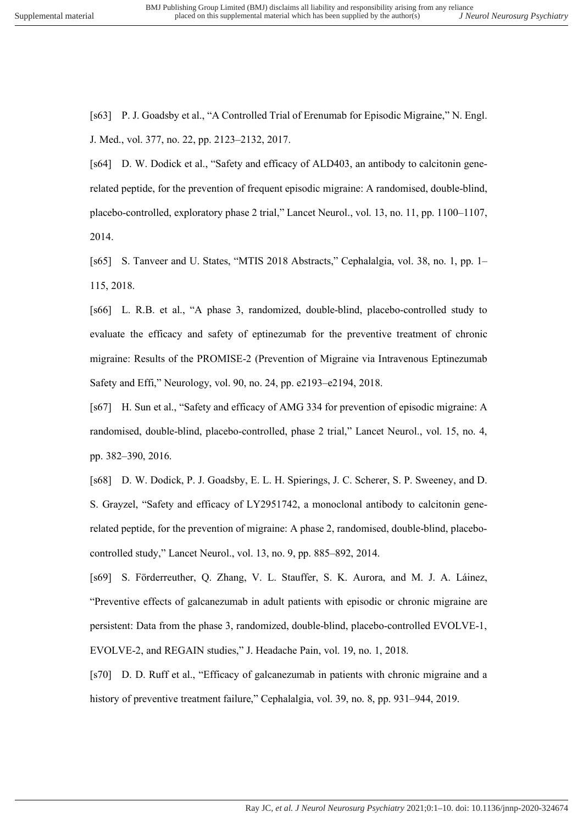[s63] P. J. Goadsby et al., "A Controlled Trial of Erenumab for Episodic Migraine," N. Engl. J. Med., vol. 377, no. 22, pp. 2123–2132, 2017.

[s64] D. W. Dodick et al., "Safety and efficacy of ALD403, an antibody to calcitonin generelated peptide, for the prevention of frequent episodic migraine: A randomised, double-blind, placebo-controlled, exploratory phase 2 trial," Lancet Neurol., vol. 13, no. 11, pp. 1100–1107, 2014.

[s65] S. Tanveer and U. States, "MTIS 2018 Abstracts," Cephalalgia, vol. 38, no. 1, pp. 1– 115, 2018.

[s66] L. R.B. et al., "A phase 3, randomized, double-blind, placebo-controlled study to evaluate the efficacy and safety of eptinezumab for the preventive treatment of chronic migraine: Results of the PROMISE-2 (Prevention of Migraine via Intravenous Eptinezumab Safety and Effi," Neurology, vol. 90, no. 24, pp. e2193–e2194, 2018.

[s67] H. Sun et al., "Safety and efficacy of AMG 334 for prevention of episodic migraine: A randomised, double-blind, placebo-controlled, phase 2 trial," Lancet Neurol., vol. 15, no. 4, pp. 382–390, 2016.

[s68] D. W. Dodick, P. J. Goadsby, E. L. H. Spierings, J. C. Scherer, S. P. Sweeney, and D. S. Grayzel, "Safety and efficacy of LY2951742, a monoclonal antibody to calcitonin generelated peptide, for the prevention of migraine: A phase 2, randomised, double-blind, placebocontrolled study," Lancet Neurol., vol. 13, no. 9, pp. 885–892, 2014.

[s69] S. Förderreuther, Q. Zhang, V. L. Stauffer, S. K. Aurora, and M. J. A. Láinez, "Preventive effects of galcanezumab in adult patients with episodic or chronic migraine are persistent: Data from the phase 3, randomized, double-blind, placebo-controlled EVOLVE-1, EVOLVE-2, and REGAIN studies," J. Headache Pain, vol. 19, no. 1, 2018.

[s70] D. D. Ruff et al., "Efficacy of galcanezumab in patients with chronic migraine and a history of preventive treatment failure," Cephalalgia, vol. 39, no. 8, pp. 931–944, 2019.